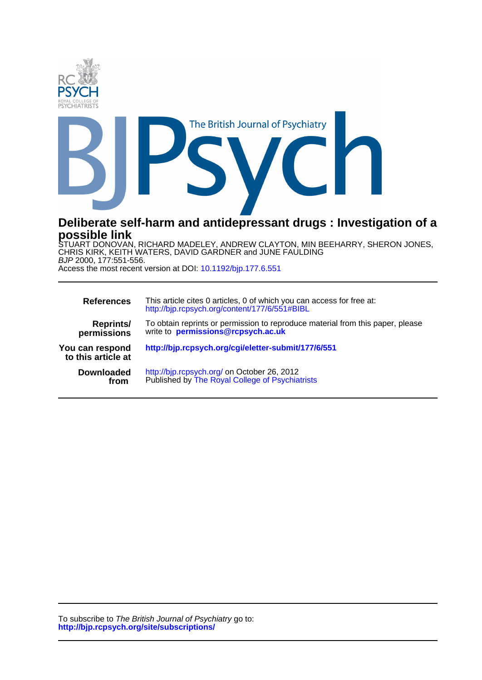



# **possible link Deliberate self-harm and antidepressant drugs : Investigation of a**

BJP 2000, 177:551-556. CHRIS KIRK, KEITH WATERS, DAVID GARDNER and JUNE FAULDING STUART DONOVAN, RICHARD MADELEY, ANDREW CLAYTON, MIN BEEHARRY, SHERON JONES,

Access the most recent version at DOI: 10.1192/bjp.177.6.551

| <b>References</b>                     | This article cites 0 articles, 0 of which you can access for free at:<br>http://bjp.rcpsych.org/content/177/6/551#BIBL      |
|---------------------------------------|-----------------------------------------------------------------------------------------------------------------------------|
| <b>Reprints/</b><br>permissions       | To obtain reprints or permission to reproduce material from this paper, please<br>write to <b>permissions@rcpsych.ac.uk</b> |
| You can respond<br>to this article at | http://bjp.rcpsych.org/cgi/eletter-submit/177/6/551                                                                         |
| <b>Downloaded</b><br>from             | http://bjp.rcpsych.org/ on October 26, 2012<br>Published by The Royal College of Psychiatrists                              |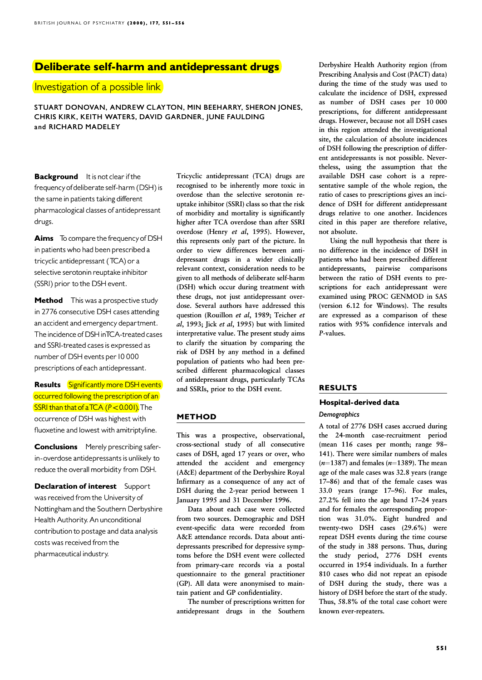## Deliberate self-harm and antidepressant drugs

## Investigation of a possible link

STUART DONOVAN, ANDREW CLAYTON, MIN BEEHARRY, SHERON JONES, CHRIS KIRK, KEITH WATERS, DAVID GARDNER, JUNE FAULDING and RICHARD MADELEY

**Background** It is not clear if the frequency of deliberate self-harm (DSH) is the same in patients taking different pharmacological classes of antidepressant drugs.

Aims To compare the frequency of DSH in patients who had been prescribed a tricyclic antidepressant (TCA) or a selective serotonin reuptake inhibitor (SSRI) prior to the DSH event.

**Method** This was a prospective study in 2776 consecutive DSH cases attending an accident and emergency department. The incidence of DSH inTCA-treated cases and SSRI-treated cases is expressed as number of DSH events per 10 000 prescriptions of each antidepressant.

**Results** Significantly more DSH events occurred following the prescription of an SSRI than that of aTCA (P<0.001). The occurrence of DSH was highest with fluoxetine and lowest with amitriptyline.

**Conclusions** Merely prescribing saferin-overdose antidepressants is unlikely to reduce the overall morbidity from DSH.

**Declaration of interest** Support was received from the University of Nottingham and the Southern Derbyshire Health Authority. An unconditional contribution to postage and data analysis costs was received from the pharmaceutical industry.

Tricyclic antidepressant (TCA) drugs are recognised to be inherently more toxic in overdose than the selective serotonin reuptake inhibitor (SSRI) class so that the risk of morbidity and mortality is significantly higher after TCA overdose than after SSRI overdose (Henry et al, 1995). However, this represents only part of the picture. In order to view differences between antidepressant drugs in a wider clinically relevant context, consideration needs to be given to all methods of deliberate self-harm (DSH) which occur during treatment with these drugs, not just antidepressant overdose. Several authors have addressed this question (Rouillon et al, 1989; Teicher et al, 1993; Iick et al, 1995) but with limited interpretative value. The present study aims to clarify the situation by comparing the risk of DSH by any method in a defined population of patients who had been prescribed different pharmacological classes of antidepressant drugs, particularly TCAs and SSRIs, prior to the DSH event.

## **METHOD**

This was a prospective, observational, cross-sectional study of all consecutive cases of DSH, aged 17 years or over, who attended the accident and emergency (A&E) department of the Derbyshire Royal Infirmary as a consequence of any act of DSH during the 2-year period between 1 January 1995 and 31 December 1996.

Data about each case were collected from two sources. Demographic and DSH event-specific data were recorded from A&E attendance records. Data about antidepressants prescribed for depressive symptoms before the DSH event were collected from primary-care records via a postal questionnaire to the general practitioner (GP). All data were anonymised to maintain patient and GP confidentiality.

The number of prescriptions written for antidepressant drugs in the Southern

Derbyshire Health Authority region (from Prescribing Analysis and Cost (PACT) data) during the time of the study was used to calculate the incidence of DSH, expressed as number of DSH cases per 10 000 prescriptions, for different antidepressant drugs. However, because not all DSH cases in this region attended the investigational site, the calculation of absolute incidences of DSH following the prescription of different antidepressants is not possible. Nevertheless, using the assumption that the available DSH case cohort is a representative sample of the whole region, the ratio of cases to prescriptions gives an incidence of DSH for different antidepressant drugs relative to one another. Incidences cited in this paper are therefore relative, not absolute.

Using the null hypothesis that there is no difference in the incidence of DSH in patients who had been prescribed different antidepressants, pairwise comparisons between the ratio of DSH events to prescriptions for each antidepressant were examined using PROC GENMOD in SAS (version 6.12 for Windows). The results are expressed as a comparison of these ratios with 95% confidence intervals and P-values.

## **RESULTS**

## Hospital-derived data

## Demographics

A total of 2776 DSH cases accrued during the 24-month case-recruitment period (mean 116 cases per month; range 98-141). There were similar numbers of males  $(n=1387)$  and females  $(n=1389)$ . The mean age of the male cases was 32.8 years (range 17-86) and that of the female cases was 33.0 years (range  $17-96$ ). For males, 27.2% fell into the age band 17-24 years and for females the corresponding proportion was 31.0%. Eight hundred and twenty-two DSH cases (29.6%) were repeat DSH events during the time course of the study in 388 persons. Thus, during the study period, 2776 DSH events occurred in 1954 individuals. In a further 810 cases who did not repeat an episode of DSH during the study, there was a history of DSH before the start of the study. Thus, 58.8% of the total case cohort were known ever-repeaters.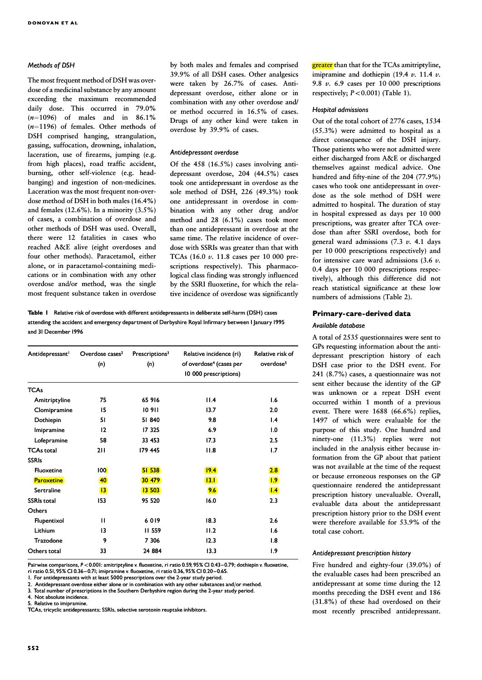## Methods of DSH

The most frequent method of DSH was overdose of a medicinal substance by any amount exceeding the maximum recommended daily dose. This occurred in 79.0%  $(n=1096)$  of males and in 86.1%  $(n=1196)$  of females. Other methods of DSH comprised hanging, strangulation, gassing, suffocation, drowning, inhalation, laceration, use of firearms, jumping (e.g. from high places), road traffic accident, burning, other self-violence (e.g. headbanging) and ingestion of non-medicines. Laceration was the most frequent non-overdose method of DSH in both males (16.4%) and females  $(12.6\%)$ . In a minority  $(3.5\%)$ of cases, a combination of overdose and other methods of DSH was used. Overall, there were 12 fatalities in cases who reached A&E alive (eight overdoses and four other methods). Paracetamol, either alone, or in paracetamol-containing medications or in combination with any other overdose and/or method, was the single most frequent substance taken in overdose

by both males and females and comprised 39.9% of all DSH cases. Other analgesics were taken by 26.7% of cases. Antidepressant overdose, either alone or in combination with any other overdose and/ or method occurred in 16.5% of cases. Drugs of any other kind were taken in overdose by 39.9% of cases.

#### Antidepressant overdose

Of the 458 (16.5%) cases involving antidepressant overdose, 204 (44.5%) cases took one antidepressant in overdose as the sole method of DSH, 226 (49.3%) took one antidepressant in overdose in combination with any other drug and/or method and 28 (6.1%) cases took more than one antidepressant in overdose at the same time. The relative incidence of overdose with SSRIs was greater than that with TCAs (16.0  $\nu$ . 11.8 cases per 10 000 prescriptions respectively). This pharmacological class finding was strongly influenced by the SSRI fluoxetine, for which the relative incidence of overdose was significantly

Table I Relative risk of overdose with different antidepressants in deliberate self-harm (DSH) cases attending the accident and emergency department of Derbyshire Royal Infirmary between I January 1995 and 31 December 1996

| Antidepressant <sup>1</sup> | Overdose cases <sup>2</sup><br>(n) | Prescriptions <sup>3</sup><br>(n) | Relative incidence (ri)<br>of overdose <sup>4</sup> (cases per<br>10 000 prescriptions) | Relative risk of<br>overdose <sup>5</sup> |
|-----------------------------|------------------------------------|-----------------------------------|-----------------------------------------------------------------------------------------|-------------------------------------------|
| <b>TCAs</b>                 |                                    |                                   |                                                                                         |                                           |
| Amitriptyline               | 75                                 | 65 916                            | II.4                                                                                    | 1.6                                       |
| Clomipramine                | 15                                 | 10 911                            | 13.7                                                                                    | 2.0                                       |
| Dothiepin                   | 51                                 | 51 840                            | 9.8                                                                                     | 1.4                                       |
| Imipramine                  | 12                                 | 17 325                            | 6.9                                                                                     | 1.0                                       |
| Lofepramine                 | 58                                 | 33 453                            | 17.3                                                                                    | 2.5                                       |
| <b>TCAs total</b>           | 211                                | 179 445                           | 11.8                                                                                    | 1.7                                       |
| <b>SSRIs</b>                |                                    |                                   |                                                                                         |                                           |
| Fluoxetine                  | 100                                | 51 538                            | 19.4                                                                                    | 2.8                                       |
| <b>Paroxetine</b>           | 40 <sup>°</sup>                    | 30 479                            | 13.1                                                                                    | 1.9                                       |
| Sertraline                  | $ 13\rangle$                       | 13 503                            | 9.6                                                                                     | .4                                        |
| <b>SSRIs total</b>          | 153                                | 95 520                            | 16.0                                                                                    | 2.3                                       |
| Others                      |                                    |                                   |                                                                                         |                                           |
| Flupentixol                 | $\mathbf{H}$                       | 6019                              | 18.3                                                                                    | 2.6                                       |
| Lithium                     | 13                                 | <b>II 559</b>                     | 11.2                                                                                    | 1.6                                       |
| Trazodone                   | 9                                  | 7 306                             | 12.3                                                                                    | 1.8                                       |
| Others total                | 33                                 | 24 884                            | 13.3                                                                                    | 1.9                                       |
|                             |                                    |                                   |                                                                                         |                                           |

Pairwise comparisons, P<0.001: amitriptyline v. fluoxetine, ri ratio 0.59, 95% Cl 0.43-0.79; dothiepin v. fluoxetine, ri ratio 0.51, 95% CI 0.36-0.71; imipramine v. fluoxetine, ri ratio 0.36, 95% CI 0.20-0.65.

I. For antidepressants with at least 5000 prescriptions over the 2-year study period.

2. Antidepressant overdose either alone or in combination with any other substances and/or method.

3. Total number of prescriptions in the Southern Derbyshire region during the 2-year study period.

4 Not absolute incidence

5. Relative to imipramine.

TCAs, tricyclic antidepressants; SSRIs, selective serotonin reuptake inhibitors.

greater than that for the TCAs amitriptyline, imipramine and dothiepin (19.4  $\nu$ , 11.4  $\nu$ , 9.8  $\nu$ . 6.9 cases per 10 000 prescriptions respectively;  $P < 0.001$ ) (Table 1).

#### **Hospital admissions**

Out of the total cohort of 2776 cases, 1534  $(55.3\%)$  were admitted to hospital as a direct consequence of the DSH injury. Those patients who were not admitted were either discharged from A&E or discharged themselves against medical advice. One hundred and fifty-nine of the 204 (77.9%) cases who took one antidepressant in overdose as the sole method of DSH were admitted to hospital. The duration of stay in hospital expressed as days per 10 000 prescriptions, was greater after TCA overdose than after SSRI overdose, both for general ward admissions  $(7.3 \, \nu. \, 4.1 \, \text{days})$ per 10 000 prescriptions respectively) and for intensive care ward admissions  $(3.6 v.$ 0.4 days per 10 000 prescriptions respectively), although this difference did not reach statistical significance at these low numbers of admissions (Table 2).

### Primary-care-derived data

#### Available database

A total of 2535 questionnaires were sent to GPs requesting information about the antidepressant prescription history of each DSH case prior to the DSH event. For 241  $(8.7\%)$  cases, a question aire was not sent either because the identity of the GP was unknown or a repeat DSH event occurred within 1 month of a previous event. There were 1688 (66.6%) replies, 1497 of which were evaluable for the purpose of this study. One hundred and ninety-one (11.3%) replies were not included in the analysis either because information from the GP about that patient was not available at the time of the request or because erroneous responses on the GP questionnaire rendered the antidepressant prescription history unevaluable. Overall, evaluable data about the antidepressant prescription history prior to the DSH event were therefore available for 53.9% of the total case cohort.

#### Antidebressant brescription history

Five hundred and eighty-four (39.0%) of the evaluable cases had been prescribed an antidepressant at some time during the 12 months preceding the DSH event and 186 (31.8%) of these had overdosed on their most recently prescribed antidepressant.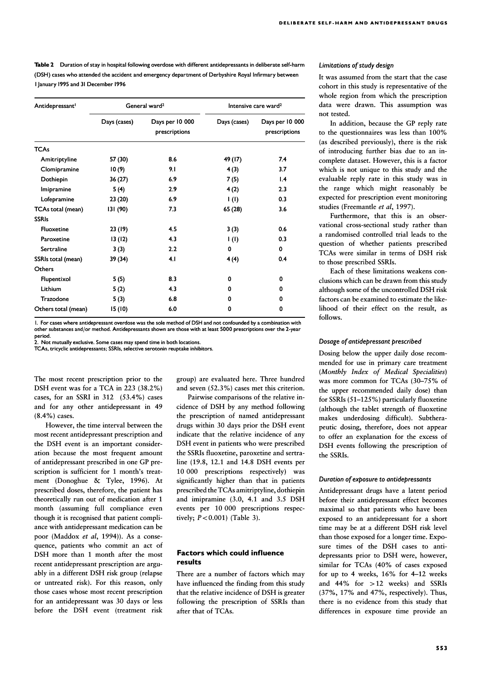Table 2 Duration of stay in hospital following overdose with different antidepressants in deliberate self-harm (DSH) cases who attended the accident and emergency department of Derbyshire Royal Infirmary between I January 1995 and 31 December 1996

| Antidepressant      | General ward <sup>2</sup> |                                  | Intensive care ward <sup>2</sup> |                                  |
|---------------------|---------------------------|----------------------------------|----------------------------------|----------------------------------|
|                     | Days (cases)              | Days per 10 000<br>prescriptions | Days (cases)                     | Days per 10 000<br>prescriptions |
| <b>TCAs</b>         |                           |                                  |                                  |                                  |
| Amitriptyline       | 57 (30)                   | 8.6                              | 49 (17)                          | 7.4                              |
| Clomipramine        | 10(9)                     | 9.1                              | 4(3)                             | 3.7                              |
| Dothiepin           | 36(27)                    | 6.9                              | 7(5)                             | 1.4                              |
| Imipramine          | 5(4)                      | 2.9                              | 4(2)                             | 2.3                              |
| Lofepramine         | 23(20)                    | 6.9                              | $\mathsf{I}(\mathsf{I})$         | 0.3                              |
| TCAs total (mean)   | 131 (90)                  | 7.3                              | 65 (28)                          | 3.6                              |
| <b>SSRIs</b>        |                           |                                  |                                  |                                  |
| <b>Fluoxetine</b>   | 23 (19)                   | 4.5                              | 3(3)                             | 0.6                              |
| Paroxetine          | 13(12)                    | 4.3                              | I(I)                             | 0.3                              |
| Sertraline          | 3(3)                      | 2.2                              | 0                                | 0                                |
| SSRIs total (mean)  | 39 (34)                   | 4.1                              | 4 (4)                            | 0.4                              |
| Others              |                           |                                  |                                  |                                  |
| Flupentixol         | 5(5)                      | 8.3                              | 0                                | 0                                |
| Lithium             | 5(2)                      | 4.3                              | 0                                | 0                                |
| Trazodone           | 5(3)                      | 6.8                              | 0                                | 0                                |
| Others total (mean) | 15 (10)                   | 6.0                              | 0                                | 0                                |

I. For cases where antidepressant overdose was the sole method of DSH and not confounded by a combination with other substances and/or method. Antidepressants shown are those with at least 5000 prescriptions over the 2-year period.<br>2. Not mutually exclusive. Some cases may spend time in both locations.

TCAs, tricyclic antidepressants; SSRIs, selective serotonin reuptake inhibitors.

The most recent prescription prior to the DSH event was for a TCA in 223 (38.2%) cases, for an SSRI in 312 (53.4%) cases and for any other antidepressant in 49  $(8.4\%)$  cases.

However, the time interval between the most recent antidepressant prescription and the DSH event is an important consideration because the most frequent amount of antidepressant prescribed in one GP prescription is sufficient for 1 month's treatment (Donoghue & Tylee, 1996). At prescribed doses, therefore, the patient has theoretically run out of medication after 1 month (assuming full compliance even though it is recognised that patient compliance with antidepressant medication can be poor (Maddox et al, 1994)). As a consequence, patients who commit an act of DSH more than 1 month after the most recent antidepressant prescription are arguably in a different DSH risk group (relapse or untreated risk). For this reason, only those cases whose most recent prescription for an antidepressant was 30 days or less before the DSH event (treatment risk

group) are evaluated here. Three hundred and seven  $(52.3\%)$  cases met this criterion.

Pairwise comparisons of the relative incidence of DSH by any method following the prescription of named antidepressant drugs within 30 days prior the DSH event indicate that the relative incidence of any DSH event in patients who were prescribed the SSRIs fluoxetine, paroxetine and sertraline (19.8, 12.1 and 14.8 DSH events per 10 000 prescriptions respectively) was significantly higher than that in patients prescribed the TCAs amitriptyline, dothiepin and imipramine (3.0, 4.1 and 3.5 DSH events per 10 000 prescriptions respectively;  $P < 0.001$ ) (Table 3).

## **Factors which could influence** results

There are a number of factors which may have influenced the finding from this study that the relative incidence of DSH is greater following the prescription of SSRIs than after that of TCAs

### Limitations of study design

It was assumed from the start that the case cohort in this study is representative of the whole region from which the prescription data were drawn. This assumption was not tested

In addition, because the GP reply rate to the questionnaires was less than 100% (as described previously), there is the risk of introducing further bias due to an incomplete dataset. However, this is a factor which is not unique to this study and the evaluable reply rate in this study was in the range which might reasonably be expected for prescription event monitoring studies (Freemantle et al, 1997).

Furthermore, that this is an observational cross-sectional study rather than a randomised controlled trial leads to the question of whether patients prescribed TCAs were similar in terms of DSH risk to those prescribed SSRIs.

Each of these limitations weakens conclusions which can be drawn from this study although some of the uncontrolled DSH risk factors can be examined to estimate the likelihood of their effect on the result, as follows.

#### Dosage of antidepressant prescribed

Dosing below the upper daily dose recommended for use in primary care treatment (Monthly Index of Medical Specialities) was more common for TCAs (30-75% of the upper recommended daily dose) than for SSRIs (51-125%) particularly fluoxetine (although the tablet strength of fluoxetine makes underdosing difficult). Subtherapeutic dosing, therefore, does not appear to offer an explanation for the excess of DSH events following the prescription of the SSRIs.

#### Duration of exposure to antidepressants

Antidepressant drugs have a latent period before their antidepressant effect becomes maximal so that patients who have been exposed to an antidepressant for a short time may be at a different DSH risk level than those exposed for a longer time. Exposure times of the DSH cases to antidepressants prior to DSH were, however, similar for TCAs (40% of cases exposed for up to 4 weeks, 16% for 4-12 weeks and  $44\%$  for  $>12$  weeks) and SSRIs (37%, 17% and 47%, respectively). Thus, there is no evidence from this study that differences in exposure time provide an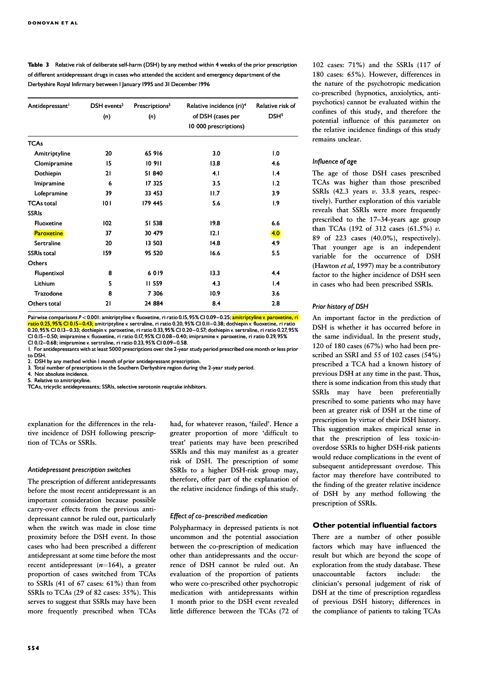Table 3 Relative risk of deliberate self-harm (DSH) by any method within 4 weeks of the prior prescription of different antidepressant drugs in cases who attended the accident and emergency department of the Derbyshire Royal Infirmary between I January 1995 and 31 December 1996

| Antidepressant     | $DSH$ events <sup>2</sup><br>(n) | Prescriptions <sup>3</sup><br>(n) | Relative incidence (ri) <sup>4</sup><br>of DSH (cases per<br>10 000 prescriptions) | Relative risk of<br>DSH <sup>5</sup> |
|--------------------|----------------------------------|-----------------------------------|------------------------------------------------------------------------------------|--------------------------------------|
| <b>TCAs</b>        |                                  |                                   |                                                                                    |                                      |
| Amitriptyline      | 20                               | 65916                             | 3.0                                                                                | 1.0                                  |
| Clomipramine       | 15                               | 10 911                            | 13.8                                                                               | 4.6                                  |
| Dothiepin          | 21                               | 51 840                            | 4.1                                                                                | 1.4                                  |
| Imipramine         | 6                                | 17 325                            | 3.5                                                                                | 1.2                                  |
| Lofepramine        | 39                               | 33 453                            | II.7                                                                               | 3.9                                  |
| <b>TCAs total</b>  | 101                              | 179 445                           | 5.6                                                                                | 1.9                                  |
| <b>SSRIs</b>       |                                  |                                   |                                                                                    |                                      |
| <b>Fluoxetine</b>  | 102                              | 51 538                            | 19.8                                                                               | 6.6                                  |
| <b>Paroxetine</b>  | 37                               | 30 479                            | 12.1                                                                               | 4.0                                  |
| Sertraline         | 20                               | 13 503                            | 14.8                                                                               | 4.9                                  |
| <b>SSRIs total</b> | 159                              | 95 520                            | 16.6                                                                               | 5.5                                  |
| <b>Others</b>      |                                  |                                   |                                                                                    |                                      |
| Flupentixol        | 8                                | 6019                              | 13.3                                                                               | 4.4                                  |
| Lithium            | 5                                | 11 559                            | 4.3                                                                                | 1.4                                  |
| Trazodone          | 8                                | 7 3 0 6                           | 10.9                                                                               | 3.6                                  |
| Others total       | 21                               | 24 884                            | 8.4                                                                                | 2.8                                  |

Pairwise comparisons P < 0.001: amitriptyline v. fluoxetine, ri ratio 0.15, 95% CI 0.09-0.25; amitriptyline v. paroxetine, ri CI 0.15-0.43; amitriptyline v. sertraline, ri ratio 0.20, 95% CI 0.11-0.38; dothiepin v. fluoxetine, ri ratio 0.20, 95% CI 0.13-0.33; dothiepin v. paroxetine, ri ratio 0.33, 95% CI 0.20-0.57; dothiepin v. sertraline, ri ratio 0.27, 95% CI 0.15-0.50; imipramine v. fluoxetine, ri ratio 0.17, 95% CI 0.08-0.40; imipramine v. paroxetine, ri ratio 0.29, 95% CI 0.12-0.68; imipramine v. sertraline, ri ratio 0.23, 95%

I. For antidepressants with at least 5000 prescriptions over the 2-year study period prescribed one month or less prior to DSH.

2 DSH by any method within I month of prior antidepressant prescription

3. Total number of prescriptions in the Southern Derbyshire region during the 2-year study period.

4. Not absolute incidence.

5. Relative to amitriptyline

TCAs, tricyclic antidepressants; SSRIs, selective serotonin reuptake inhibitors.

explanation for the differences in the relative incidence of DSH following prescription of TCAs or SSRIs.

#### Antidepressant prescription switches

The prescription of different antidepressants before the most recent antidepressant is an important consideration because possible carry-over effects from the previous antidepressant cannot be ruled out, particularly when the switch was made in close time proximity before the DSH event. In those cases who had been prescribed a different antidepressant at some time before the most recent antidepressant  $(n=164)$ , a greater proportion of cases switched from TCAs to SSRIs (41 of 67 cases: 61%) than from SSRIs to TCAs (29 of 82 cases: 35%). This serves to suggest that SSRIs may have been more frequently prescribed when TCAs

had, for whatever reason, 'failed'. Hence a greater proportion of more 'difficult to treat' patients may have been prescribed SSRIs and this may manifest as a greater risk of DSH. The prescription of some SSRIs to a higher DSH-risk group may, therefore, offer part of the explanation of the relative incidence findings of this study.

#### Effect of co-prescribed medication

Polypharmacy in depressed patients is not uncommon and the potential association between the co-prescription of medication other than antidepressants and the occurrence of DSH cannot be ruled out. An evaluation of the proportion of patients who were co-prescribed other psychotropic medication with antidepressants within 1 month prior to the DSH event revealed little difference between the TCAs (72 of

102 cases: 71%) and the SSRIs (117 of 180 cases: 65%). However, differences in the nature of the psychotropic medication co-prescribed (hypnotics, anxiolytics, antipsychotics) cannot be evaluated within the confines of this study, and therefore the potential influence of this parameter on the relative incidence findings of this study remains unclear.

#### Influence of age

The age of those DSH cases prescribed TCAs was higher than those prescribed SSRIs (42.3 years  $v$ . 33.8 years, respectively). Further exploration of this variable reveals that SSRIs were more frequently prescribed to the 17-34-years age group than TCAs (192 of 312 cases (61.5%)  $\nu$ . 89 of 223 cases (40.0%), respectively). That younger age is an independent variable for the occurrence of DSH (Hawton et al, 1997) may be a contributory factor to the higher incidence of DSH seen in cases who had been prescribed SSRIs.

#### Prior history of DSH

An important factor in the prediction of DSH is whether it has occurred before in the same individual. In the present study, 120 of 180 cases (67%) who had been prescribed an SSRI and 55 of 102 cases (54%) prescribed a TCA had a known history of previous DSH at any time in the past. Thus, there is some indication from this study that SSRIs may have been preferentially prescribed to some patients who may have been at greater risk of DSH at the time of prescription by virtue of their DSH history. This suggestion makes empirical sense in that the prescription of less toxic-inoverdose SSRIs to higher DSH-risk patients would reduce complications in the event of subsequent antidepressant overdose. This factor may therefore have contributed to the finding of the greater relative incidence of DSH by any method following the prescription of SSRIs.

#### Other potential influential factors

There are a number of other possible factors which may have influenced the result but which are beyond the scope of exploration from the study database. These unaccountable factors include: the clinician's personal judgement of risk of DSH at the time of prescription regardless of previous DSH history; differences in the compliance of patients to taking TCAs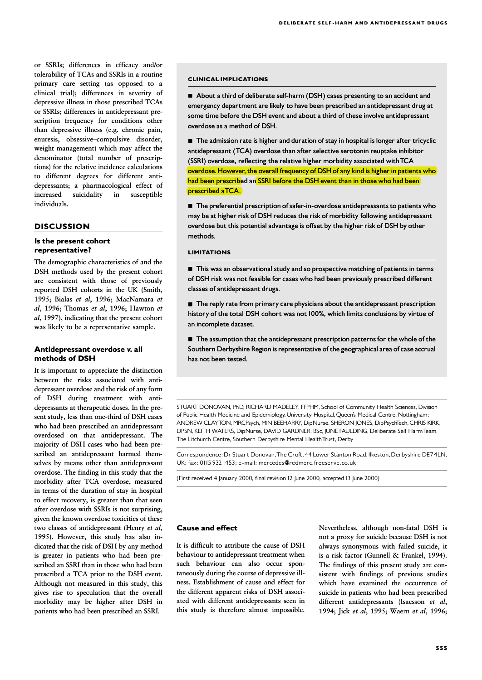or SSRIs; differences in efficacy and/or tolerability of TCAs and SSRIs in a routine primary care setting (as opposed to a clinical trial); differences in severity of depressive illness in those prescribed TCAs or SSRIs; differences in antidepressant prescription frequency for conditions other than depressive illness (e.g. chronic pain, enuresis, obsessive-compulsive disorder, weight management) which may affect the denominator (total number of prescriptions) for the relative incidence calculations to different degrees for different antidepressants; a pharmacological effect of suicidality increased  $in$ susceptible individuals.

## **DISCUSSION**

## Is the present cohort representative?

The demographic characteristics of and the DSH methods used by the present cohort are consistent with those of previously reported DSH cohorts in the UK (Smith, 1995; Bialas et al, 1996; MacNamara et al, 1996; Thomas et al, 1996; Hawton et al, 1997), indicating that the present cohort was likely to be a representative sample.

## Antidepressant overdose v. all methods of DSH

It is important to appreciate the distinction between the risks associated with antidepressant overdose and the risk of any form of DSH during treatment with antidepressants at therapeutic doses. In the present study, less than one-third of DSH cases who had been prescribed an antidepressant overdosed on that antidepressant. The majority of DSH cases who had been prescribed an antidepressant harmed themselves by means other than antidepressant overdose. The finding in this study that the morbidity after TCA overdose, measured in terms of the duration of stay in hospital to effect recovery, is greater than that seen after overdose with SSRIs is not surprising, given the known overdose toxicities of these two classes of antidepressant (Henry et al, 1995). However, this study has also indicated that the risk of DSH by any method is greater in patients who had been prescribed an SSRI than in those who had been prescribed a TCA prior to the DSH event. Although not measured in this study, this gives rise to speculation that the overall morbidity may be higher after DSH in patients who had been prescribed an SSRI.

#### **CLINICAL IMPLICATIONS**

About a third of deliberate self-harm (DSH) cases presenting to an accident and emergency department are likely to have been prescribed an antidepressant drug at some time before the DSH event and about a third of these involve antidepressant overdose as a method of DSH.

The admission rate is higher and duration of stay in hospital is longer after tricyclic antidepressant (TCA) overdose than after selective serotonin reuptake inhibitor (SSRI) overdose, reflecting the relative higher morbidity associated with TCA overdose. However, the overall frequency of DSH of any kind is higher in patients who had been prescribed an SSRI before the DSH event than in those who had been prescribed a TCA.

The preferential prescription of safer-in-overdose antidepressants to patients who may be at higher risk of DSH reduces the risk of morbidity following antidepressant overdose but this potential advantage is offset by the higher risk of DSH by other methods.

### **I IMITATIONS**

This was an observational study and so prospective matching of patients in terms of DSH risk was not feasible for cases who had been previously prescribed different classes of antidepressant drugs.

The reply rate from primary care physicians about the antidepressant prescription history of the total DSH cohort was not 100%, which limits conclusions by virtue of an incomplete dataset.

The assumption that the antidepressant prescription patterns for the whole of the Southern Derbyshire Region is representative of the geographical area of case accrual has not been tested

STUART DONOVAN. PhD. RICHARD MADELEY, FFPHM, School of Community Health Sciences, Division of Public Health Medicine and Epidemiology, University Hospital, Queen's Medical Centre, Nottingham; ANDREW CLAYTON, MRCPsych, MIN BEEHARRY, DipNurse, SHERON JONES, DipPsychTech, CHRIS KIRK, DPSN, KEITH WATERS, DipNurse, DAVID GARDNER, BSc, JUNE FAULDING, Deliberate Self Harm Team, The Litchurch Centre, Southern Derbyshire Mental Health Trust, Derby

Correspondence: Dr Stuart Donovan, The Croft, 44 Lower Stanton Road, Ilkeston, Derbyshire DE74LN, UK; fax: 0115 932 1453; e-mail: mercedes@redmerc.freeserve.co.uk

(First received 4 January 2000, final revision I2 June 2000, accepted I3 June 2000)

## **Cause and effect**

It is difficult to attribute the cause of DSH behaviour to antidepressant treatment when such behaviour can also occur spontaneously during the course of depressive illness. Establishment of cause and effect for the different apparent risks of DSH associated with different antidepressants seen in this study is therefore almost impossible.

Nevertheless, although non-fatal DSH is not a proxy for suicide because DSH is not always synonymous with failed suicide, it is a risk factor (Gunnell & Frankel, 1994). The findings of this present study are consistent with findings of previous studies which have examined the occurrence of suicide in patients who had been prescribed different antidepressants (Isacsson et al, 1994; Jick et al, 1995; Waern et al, 1996;